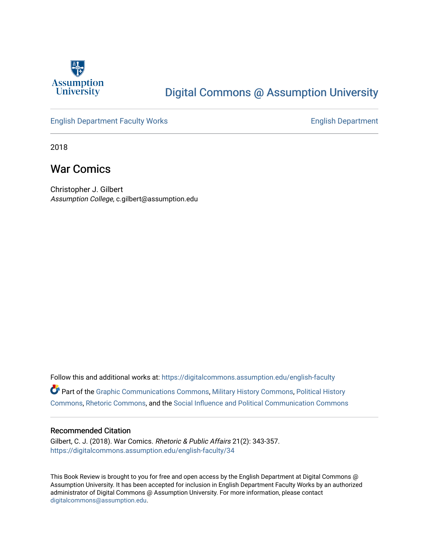

# [Digital Commons @ Assumption University](https://digitalcommons.assumption.edu/)

## [English Department Faculty Works](https://digitalcommons.assumption.edu/english-faculty) **English Department**

2018

# War Comics

Christopher J. Gilbert Assumption College, c.gilbert@assumption.edu

Follow this and additional works at: [https://digitalcommons.assumption.edu/english-faculty](https://digitalcommons.assumption.edu/english-faculty?utm_source=digitalcommons.assumption.edu%2Fenglish-faculty%2F34&utm_medium=PDF&utm_campaign=PDFCoverPages)  Part of the [Graphic Communications Commons](http://network.bepress.com/hgg/discipline/1052?utm_source=digitalcommons.assumption.edu%2Fenglish-faculty%2F34&utm_medium=PDF&utm_campaign=PDFCoverPages), [Military History Commons,](http://network.bepress.com/hgg/discipline/504?utm_source=digitalcommons.assumption.edu%2Fenglish-faculty%2F34&utm_medium=PDF&utm_campaign=PDFCoverPages) [Political History](http://network.bepress.com/hgg/discipline/505?utm_source=digitalcommons.assumption.edu%2Fenglish-faculty%2F34&utm_medium=PDF&utm_campaign=PDFCoverPages)  [Commons](http://network.bepress.com/hgg/discipline/505?utm_source=digitalcommons.assumption.edu%2Fenglish-faculty%2F34&utm_medium=PDF&utm_campaign=PDFCoverPages), [Rhetoric Commons](http://network.bepress.com/hgg/discipline/575?utm_source=digitalcommons.assumption.edu%2Fenglish-faculty%2F34&utm_medium=PDF&utm_campaign=PDFCoverPages), and the [Social Influence and Political Communication Commons](http://network.bepress.com/hgg/discipline/337?utm_source=digitalcommons.assumption.edu%2Fenglish-faculty%2F34&utm_medium=PDF&utm_campaign=PDFCoverPages) 

### Recommended Citation

Gilbert, C. J. (2018). War Comics. Rhetoric & Public Affairs 21(2): 343-357. [https://digitalcommons.assumption.edu/english-faculty/34](https://digitalcommons.assumption.edu/english-faculty/34?utm_source=digitalcommons.assumption.edu%2Fenglish-faculty%2F34&utm_medium=PDF&utm_campaign=PDFCoverPages) 

This Book Review is brought to you for free and open access by the English Department at Digital Commons @ Assumption University. It has been accepted for inclusion in English Department Faculty Works by an authorized administrator of Digital Commons @ Assumption University. For more information, please contact [digitalcommons@assumption.edu](mailto:digitalcommons@assumption.edu).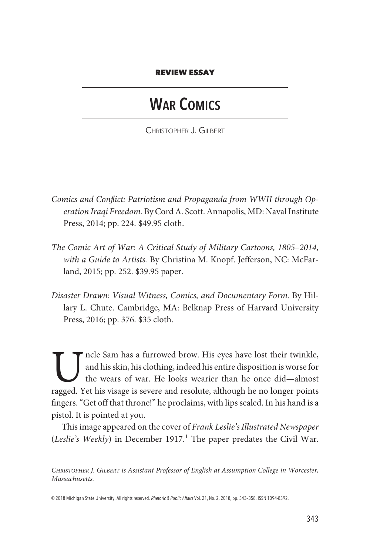#### REVIEW ESSAY

# WAR COMICS

CHRISTOPHER J. GILBERT

- *Comics and Conflict: Patriotism and Propaganda from WWII through Operation Iraqi Freedom.* By Cord A. Scott. Annapolis, MD: Naval Institute Press, 2014; pp. 224. \$49.95 cloth.
- *The Comic Art of War: A Critical Study of Military Cartoons, 1805–2014, with a Guide to Artists.* By Christina M. Knopf. Jefferson, NC: McFarland, 2015; pp. 252. \$39.95 paper.
- *Disaster Drawn: Visual Witness, Comics, and Documentary Form.* By Hillary L. Chute. Cambridge, MA: Belknap Press of Harvard University Press, 2016; pp. 376. \$35 cloth.

The Sam has a furrowed brow. His eyes have lost their twinkle,<br>and his skin, his clothing, indeed his entire disposition is worse for<br>the wears of war. He looks wearier than he once did—almost<br>ragged. Yet his visage is sev and his skin, his clothing, indeed his entire disposition is worse for the wears of war. He looks wearier than he once did—almost ragged. Yet his visage is severe and resolute, although he no longer points fıngers. "Get off that throne!" he proclaims, with lips sealed. In his hand is a pistol. It is pointed at you.

This image appeared on the cover of *Frank Leslie's Illustrated Newspaper* (*Leslie's Weekly*) in December 1917.<sup>1</sup> The paper predates the Civil War.

*CHRISTOPHER J. GILBERT is Assistant Professor of English at Assumption College in Worcester, Massachusetts.*

<sup>© 2018</sup> Michigan State University. All rights reserved. Rhetoric & Public Affairs Vol. 21, No. 2, 2018, pp. 343–358. ISSN 1094-8392.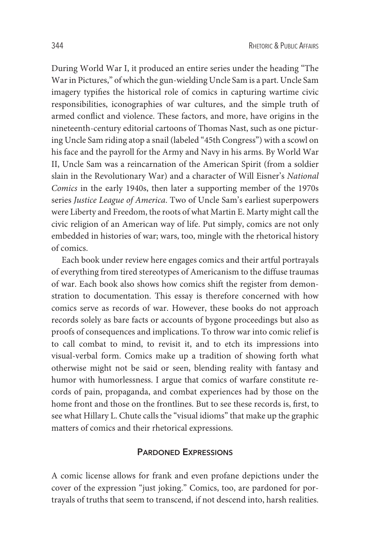During World War I, it produced an entire series under the heading "The War in Pictures," of which the gun-wielding Uncle Sam is a part. Uncle Sam imagery typifıes the historical role of comics in capturing wartime civic responsibilities, iconographies of war cultures, and the simple truth of armed conflict and violence. These factors, and more, have origins in the nineteenth-century editorial cartoons of Thomas Nast, such as one picturing Uncle Sam riding atop a snail (labeled "45th Congress") with a scowl on his face and the payroll for the Army and Navy in his arms. By World War II, Uncle Sam was a reincarnation of the American Spirit (from a soldier slain in the Revolutionary War) and a character of Will Eisner's *National Comics* in the early 1940s, then later a supporting member of the 1970s series *Justice League of America*. Two of Uncle Sam's earliest superpowers were Liberty and Freedom, the roots of what Martin E. Marty might call the civic religion of an American way of life. Put simply, comics are not only embedded in histories of war; wars, too, mingle with the rhetorical history of comics.

Each book under review here engages comics and their artful portrayals of everything from tired stereotypes of Americanism to the diffuse traumas of war. Each book also shows how comics shift the register from demonstration to documentation. This essay is therefore concerned with how comics serve as records of war. However, these books do not approach records solely as bare facts or accounts of bygone proceedings but also as proofs of consequences and implications. To throw war into comic relief is to call combat to mind, to revisit it, and to etch its impressions into visual-verbal form. Comics make up a tradition of showing forth what otherwise might not be said or seen, blending reality with fantasy and humor with humorlessness. I argue that comics of warfare constitute records of pain, propaganda, and combat experiences had by those on the home front and those on the frontlines. But to see these records is, fırst, to see what Hillary L. Chute calls the "visual idioms" that make up the graphic matters of comics and their rhetorical expressions.

### PARDONED EXPRESSIONS

A comic license allows for frank and even profane depictions under the cover of the expression "just joking." Comics, too, are pardoned for portrayals of truths that seem to transcend, if not descend into, harsh realities.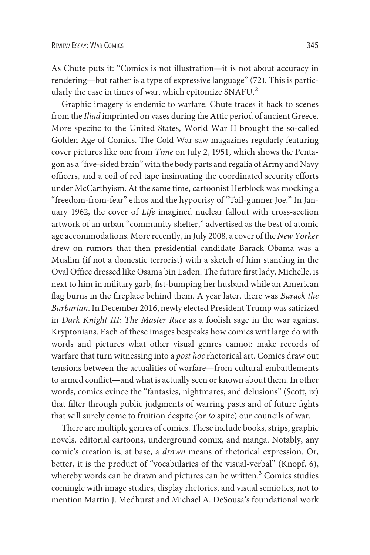As Chute puts it: "Comics is not illustration—it is not about accuracy in rendering—but rather is a type of expressive language" (72). This is particularly the case in times of war, which epitomize SNAFU.<sup>2</sup>

Graphic imagery is endemic to warfare. Chute traces it back to scenes from the *Iliad* imprinted on vases during the Attic period of ancient Greece. More specifıc to the United States, World War II brought the so-called Golden Age of Comics. The Cold War saw magazines regularly featuring cover pictures like one from *Time* on July 2, 1951, which shows the Pentagon as a "fıve-sided brain" with the body parts and regalia of Army and Navy offıcers, and a coil of red tape insinuating the coordinated security efforts under McCarthyism. At the same time, cartoonist Herblock was mocking a "freedom-from-fear" ethos and the hypocrisy of "Tail-gunner Joe." In January 1962, the cover of *Life* imagined nuclear fallout with cross-section artwork of an urban "community shelter," advertised as the best of atomic age accommodations. More recently, in July 2008, a cover of the *New Yorker* drew on rumors that then presidential candidate Barack Obama was a Muslim (if not a domestic terrorist) with a sketch of him standing in the Oval Offıce dressed like Osama bin Laden. The future fırst lady, Michelle, is next to him in military garb, fıst-bumping her husband while an American flag burns in the fıreplace behind them. A year later, there was *Barack the Barbarian*. In December 2016, newly elected President Trump was satirized in *Dark Knight III: The Master Race* as a foolish sage in the war against Kryptonians. Each of these images bespeaks how comics writ large do with words and pictures what other visual genres cannot: make records of warfare that turn witnessing into a *post hoc* rhetorical art. Comics draw out tensions between the actualities of warfare—from cultural embattlements to armed conflict—and what is actually seen or known about them. In other words, comics evince the "fantasies, nightmares, and delusions" (Scott, ix) that fılter through public judgments of warring pasts and of future fıghts that will surely come to fruition despite (or *to* spite) our councils of war.

There are multiple genres of comics. These include books, strips, graphic novels, editorial cartoons, underground comix, and manga. Notably, any comic's creation is, at base, a *drawn* means of rhetorical expression. Or, better, it is the product of "vocabularies of the visual-verbal" (Knopf, 6), whereby words can be drawn and pictures can be written.<sup>3</sup> Comics studies comingle with image studies, display rhetorics, and visual semiotics, not to mention Martin J. Medhurst and Michael A. DeSousa's foundational work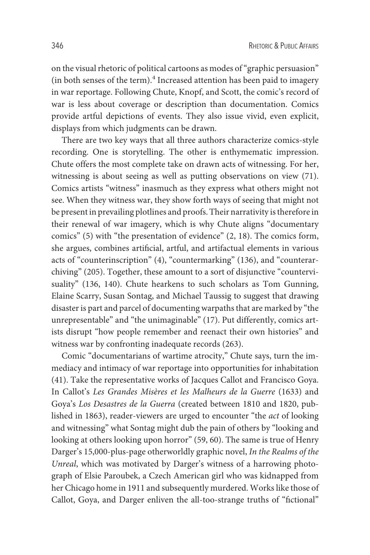on the visual rhetoric of political cartoons as modes of "graphic persuasion" (in both senses of the term).<sup>4</sup> Increased attention has been paid to imagery in war reportage. Following Chute, Knopf, and Scott, the comic's record of war is less about coverage or description than documentation. Comics provide artful depictions of events. They also issue vivid, even explicit, displays from which judgments can be drawn.

There are two key ways that all three authors characterize comics-style recording. One is storytelling. The other is enthymematic impression. Chute offers the most complete take on drawn acts of witnessing. For her, witnessing is about seeing as well as putting observations on view (71). Comics artists "witness" inasmuch as they express what others might not see. When they witness war, they show forth ways of seeing that might not be present in prevailing plotlines and proofs. Their narrativity is therefore in their renewal of war imagery, which is why Chute aligns "documentary comics" (5) with "the presentation of evidence" (2, 18). The comics form, she argues, combines artifıcial, artful, and artifactual elements in various acts of "counterinscription" (4), "countermarking" (136), and "counterarchiving" (205). Together, these amount to a sort of disjunctive "countervisuality" (136, 140). Chute hearkens to such scholars as Tom Gunning, Elaine Scarry, Susan Sontag, and Michael Taussig to suggest that drawing disaster is part and parcel of documenting warpaths that are marked by "the unrepresentable" and "the unimaginable" (17). Put differently, comics artists disrupt "how people remember and reenact their own histories" and witness war by confronting inadequate records (263).

Comic "documentarians of wartime atrocity," Chute says, turn the immediacy and intimacy of war reportage into opportunities for inhabitation (41). Take the representative works of Jacques Callot and Francisco Goya. In Callot's *Les Grandes Misères et les Malheurs de la Guerre* (1633) and Goya's *Los Desastres de la Guerra* (created between 1810 and 1820, published in 1863), reader-viewers are urged to encounter "the *act* of looking and witnessing" what Sontag might dub the pain of others by "looking and looking at others looking upon horror" (59, 60). The same is true of Henry Darger's 15,000-plus-page otherworldly graphic novel, *In the Realms of the Unreal*, which was motivated by Darger's witness of a harrowing photograph of Elsie Paroubek, a Czech American girl who was kidnapped from her Chicago home in 1911 and subsequently murdered. Works like those of Callot, Goya, and Darger enliven the all-too-strange truths of "fıctional"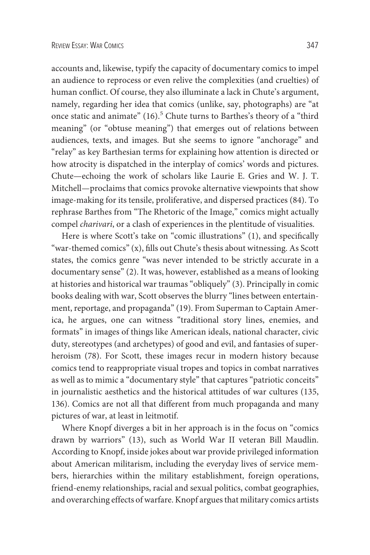accounts and, likewise, typify the capacity of documentary comics to impel an audience to reprocess or even relive the complexities (and cruelties) of human conflict. Of course, they also illuminate a lack in Chute's argument, namely, regarding her idea that comics (unlike, say, photographs) are "at once static and animate" (16).<sup>5</sup> Chute turns to Barthes's theory of a "third meaning" (or "obtuse meaning") that emerges out of relations between audiences, texts, and images. But she seems to ignore "anchorage" and "relay" as key Barthesian terms for explaining how attention is directed or how atrocity is dispatched in the interplay of comics' words and pictures. Chute—echoing the work of scholars like Laurie E. Gries and W. J. T. Mitchell—proclaims that comics provoke alternative viewpoints that show image-making for its tensile, proliferative, and dispersed practices (84). To rephrase Barthes from "The Rhetoric of the Image," comics might actually compel *charivari*, or a clash of experiences in the plentitude of visualities.

Here is where Scott's take on "comic illustrations" (1), and specifically "war-themed comics" (x), fılls out Chute's thesis about witnessing. As Scott states, the comics genre "was never intended to be strictly accurate in a documentary sense" (2). It was, however, established as a means of looking at histories and historical war traumas "obliquely" (3). Principally in comic books dealing with war, Scott observes the blurry "lines between entertainment, reportage, and propaganda" (19). From Superman to Captain America, he argues, one can witness "traditional story lines, enemies, and formats" in images of things like American ideals, national character, civic duty, stereotypes (and archetypes) of good and evil, and fantasies of superheroism (78). For Scott, these images recur in modern history because comics tend to reappropriate visual tropes and topics in combat narratives as well as to mimic a "documentary style" that captures "patriotic conceits" in journalistic aesthetics and the historical attitudes of war cultures (135, 136). Comics are not all that different from much propaganda and many pictures of war, at least in leitmotif.

Where Knopf diverges a bit in her approach is in the focus on "comics drawn by warriors" (13), such as World War II veteran Bill Maudlin. According to Knopf, inside jokes about war provide privileged information about American militarism, including the everyday lives of service members, hierarchies within the military establishment, foreign operations, friend-enemy relationships, racial and sexual politics, combat geographies, and overarching effects of warfare. Knopf argues that military comics artists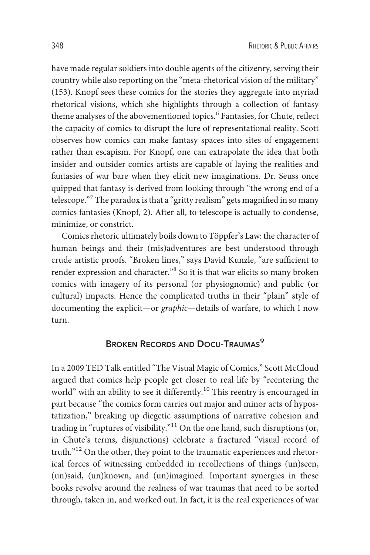have made regular soldiers into double agents of the citizenry, serving their country while also reporting on the "meta-rhetorical vision of the military" (153). Knopf sees these comics for the stories they aggregate into myriad rhetorical visions, which she highlights through a collection of fantasy theme analyses of the abovementioned topics.<sup>6</sup> Fantasies, for Chute, reflect the capacity of comics to disrupt the lure of representational reality. Scott observes how comics can make fantasy spaces into sites of engagement rather than escapism. For Knopf, one can extrapolate the idea that both insider and outsider comics artists are capable of laying the realities and fantasies of war bare when they elicit new imaginations. Dr. Seuss once quipped that fantasy is derived from looking through "the wrong end of a telescope."<sup>7</sup> The paradox is that a "gritty realism" gets magnifıed in so many comics fantasies (Knopf, 2). After all, to telescope is actually to condense, minimize, or constrict.

Comics rhetoric ultimately boils down to Töppfer's Law: the character of human beings and their (mis)adventures are best understood through crude artistic proofs. "Broken lines," says David Kunzle, "are suffıcient to render expression and character."<sup>8</sup> So it is that war elicits so many broken comics with imagery of its personal (or physiognomic) and public (or cultural) impacts. Hence the complicated truths in their "plain" style of documenting the explicit—or *graphic—*details of warfare, to which I now turn.

## BROKEN RECORDS AND DOCU-TRAUMAS<sup>9</sup>

In a 2009 TED Talk entitled "The Visual Magic of Comics," Scott McCloud argued that comics help people get closer to real life by "reentering the world" with an ability to see it differently.<sup>10</sup> This reentry is encouraged in part because "the comics form carries out major and minor acts of hypostatization," breaking up diegetic assumptions of narrative cohesion and trading in "ruptures of visibility."11 On the one hand, such disruptions (or, in Chute's terms, disjunctions) celebrate a fractured "visual record of truth."<sup>12</sup> On the other, they point to the traumatic experiences and rhetorical forces of witnessing embedded in recollections of things (un)seen, (un)said, (un)known, and (un)imagined. Important synergies in these books revolve around the realness of war traumas that need to be sorted through, taken in, and worked out. In fact, it is the real experiences of war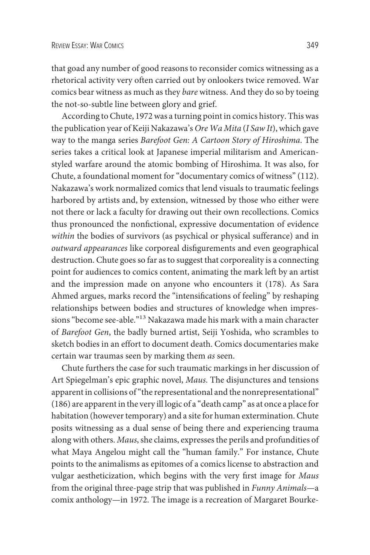that goad any number of good reasons to reconsider comics witnessing as a rhetorical activity very often carried out by onlookers twice removed. War comics bear witness as much as they *bare* witness. And they do so by toeing the not-so-subtle line between glory and grief.

According to Chute, 1972 was a turning point in comics history. This was the publication year of Keiji Nakazawa's *Ore Wa Mita* (*I Saw It*), which gave way to the manga series *Barefoot Gen: A Cartoon Story of Hiroshima*. The series takes a critical look at Japanese imperial militarism and Americanstyled warfare around the atomic bombing of Hiroshima. It was also, for Chute, a foundational moment for "documentary comics of witness" (112). Nakazawa's work normalized comics that lend visuals to traumatic feelings harbored by artists and, by extension, witnessed by those who either were not there or lack a faculty for drawing out their own recollections. Comics thus pronounced the nonfıctional, expressive documentation of evidence *within* the bodies of survivors (as psychical or physical sufferance) and in *outward appearances* like corporeal disfıgurements and even geographical destruction. Chute goes so far as to suggest that corporeality is a connecting point for audiences to comics content, animating the mark left by an artist and the impression made on anyone who encounters it (178). As Sara Ahmed argues, marks record the "intensifıcations of feeling" by reshaping relationships between bodies and structures of knowledge when impressions "become see-able."<sup>13</sup> Nakazawa made his mark with a main character of *Barefoot Gen*, the badly burned artist, Seiji Yoshida, who scrambles to sketch bodies in an effort to document death. Comics documentaries make certain war traumas seen by marking them *as* seen.

Chute furthers the case for such traumatic markings in her discussion of Art Spiegelman's epic graphic novel, *Maus*. The disjunctures and tensions apparent in collisions of "the representational and the nonrepresentational" (186) are apparent in the very ill logic of a "death camp" as at once a place for habitation (however temporary) and a site for human extermination. Chute posits witnessing as a dual sense of being there and experiencing trauma along with others. *Maus*, she claims, expresses the perils and profundities of what Maya Angelou might call the "human family." For instance, Chute points to the animalisms as epitomes of a comics license to abstraction and vulgar aestheticization, which begins with the very fırst image for *Maus* from the original three-page strip that was published in *Funny Animals—*a comix anthology—in 1972. The image is a recreation of Margaret Bourke-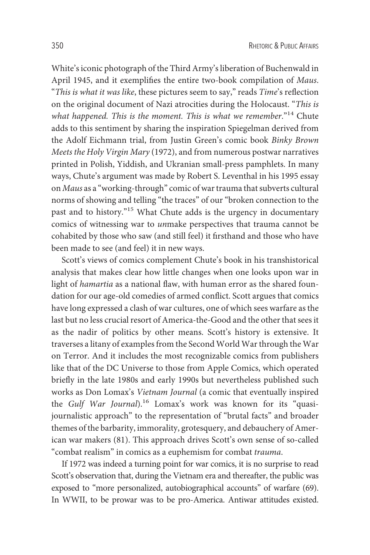White's iconic photograph of the Third Army's liberation of Buchenwald in April 1945, and it exemplifıes the entire two-book compilation of *Maus*. "*This is what it was like*, these pictures seem to say," reads *Time*'s reflection on the original document of Nazi atrocities during the Holocaust. "*This is what happened. This is the moment. This is what we remember*."14 Chute adds to this sentiment by sharing the inspiration Spiegelman derived from the Adolf Eichmann trial, from Justin Green's comic book *Binky Brown Meets the Holy Virgin Mary* (1972), and from numerous postwar narratives printed in Polish, Yiddish, and Ukranian small-press pamphlets. In many ways, Chute's argument was made by Robert S. Leventhal in his 1995 essay on *Maus* as a "working-through" comic of war trauma that subverts cultural norms of showing and telling "the traces" of our "broken connection to the past and to history."15 What Chute adds is the urgency in documentary comics of witnessing war to *un*make perspectives that trauma cannot be cohabited by those who saw (and still feel) it fırsthand and those who have been made to see (and feel) it in new ways.

Scott's views of comics complement Chute's book in his transhistorical analysis that makes clear how little changes when one looks upon war in light of *hamartia* as a national flaw, with human error as the shared foundation for our age-old comedies of armed conflict. Scott argues that comics have long expressed a clash of war cultures, one of which sees warfare as the last but no less crucial resort of America-the-Good and the other that sees it as the nadir of politics by other means. Scott's history is extensive. It traverses a litany of examples from the Second World War through the War on Terror. And it includes the most recognizable comics from publishers like that of the DC Universe to those from Apple Comics, which operated briefly in the late 1980s and early 1990s but nevertheless published such works as Don Lomax's *Vietnam Journal* (a comic that eventually inspired the *Gulf War Journal*).<sup>16</sup> Lomax's work was known for its "quasijournalistic approach" to the representation of "brutal facts" and broader themes of the barbarity, immorality, grotesquery, and debauchery of American war makers (81). This approach drives Scott's own sense of so-called "combat realism" in comics as a euphemism for combat *trauma*.

If 1972 was indeed a turning point for war comics, it is no surprise to read Scott's observation that, during the Vietnam era and thereafter, the public was exposed to "more personalized, autobiographical accounts" of warfare (69). In WWII, to be prowar was to be pro-America. Antiwar attitudes existed.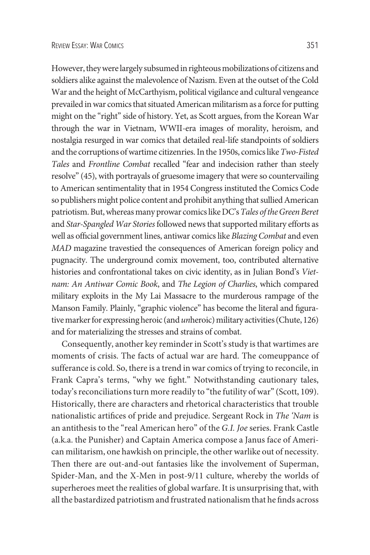However, they were largely subsumed in righteous mobilizations of citizens and soldiers alike against the malevolence of Nazism. Even at the outset of the Cold War and the height of McCarthyism, political vigilance and cultural vengeance prevailed in war comics that situated American militarism as a force for putting might on the "right" side of history. Yet, as Scott argues, from the Korean War through the war in Vietnam, WWII-era images of morality, heroism, and nostalgia resurged in war comics that detailed real-life standpoints of soldiers and the corruptions of wartime citizenries. In the 1950s, comics like*Two-Fisted Tales* and *Frontline Combat* recalled "fear and indecision rather than steely resolve" (45), with portrayals of gruesome imagery that were so countervailing to American sentimentality that in 1954 Congress instituted the Comics Code so publishers might police content and prohibit anything that sullied American patriotism. But, whereas many prowar comics like DC's Tales of the Green Beret and *Star-Spangled War Stories*followed news that supported military efforts as well as offıcial government lines, antiwar comics like *Blazing Combat* and even *MAD* magazine travestied the consequences of American foreign policy and pugnacity. The underground comix movement, too, contributed alternative histories and confrontational takes on civic identity, as in Julian Bond's *Vietnam: An Antiwar Comic Book*, and *The Legion of Charlies*, which compared military exploits in the My Lai Massacre to the murderous rampage of the Manson Family. Plainly, "graphic violence" has become the literal and fıgurative marker for expressing heroic (and *un*heroic) military activities (Chute, 126) and for materializing the stresses and strains of combat.

Consequently, another key reminder in Scott's study is that wartimes are moments of crisis. The facts of actual war are hard. The comeuppance of sufferance is cold. So, there is a trend in war comics of trying to reconcile, in Frank Capra's terms, "why we fıght." Notwithstanding cautionary tales, today's reconciliations turn more readily to "the futility of war" (Scott, 109). Historically, there are characters and rhetorical characteristics that trouble nationalistic artifıces of pride and prejudice. Sergeant Rock in *The 'Nam* is an antithesis to the "real American hero" of the *G.I. Joe* series. Frank Castle (a.k.a. the Punisher) and Captain America compose a Janus face of American militarism, one hawkish on principle, the other warlike out of necessity. Then there are out-and-out fantasies like the involvement of Superman, Spider-Man, and the X-Men in post-9/11 culture, whereby the worlds of superheroes meet the realities of global warfare. It is unsurprising that, with all the bastardized patriotism and frustrated nationalism that he fınds across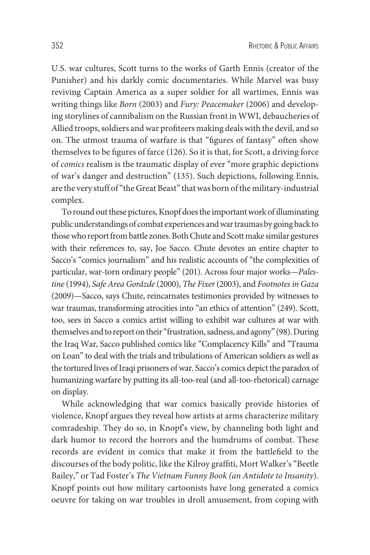U.S. war cultures, Scott turns to the works of Garth Ennis (creator of the Punisher) and his darkly comic documentaries. While Marvel was busy reviving Captain America as a super soldier for all wartimes, Ennis was writing things like *Born* (2003) and *Fury: Peacemaker* (2006) and developing storylines of cannibalism on the Russian front in WWI, debaucheries of Allied troops, soldiers and war profıteers making deals with the devil, and so on. The utmost trauma of warfare is that "fıgures of fantasy" often show themselves to be fıgures of farce (126). So it is that, for Scott, a driving force of *comics* realism is the traumatic display of ever "more graphic depictions of war's danger and destruction" (135). Such depictions, following Ennis, are the very stuff of "the Great Beast" that was born of the military-industrial complex.

To round out these pictures, Knopf does the important work of illuminating public understandings of combat experiences andwar traumas by going back to those who report from battle zones. Both Chute and Scott make similar gestures with their references to, say, Joe Sacco. Chute devotes an entire chapter to Sacco's "comics journalism" and his realistic accounts of "the complexities of particular, war-torn ordinary people" (201). Across four major works—*Palestine* (1994), *Safe Area Gora*ˇ*zde* (2000), *The Fixer*(2003), and *Footnotes in Gaza* (2009)—Sacco, says Chute, reincarnates testimonies provided by witnesses to war traumas, transforming atrocities into "an ethics of attention" (249). Scott, too, sees in Sacco a comics artist willing to exhibit war cultures at war with themselves and to report on their "frustration, sadness, and agony" (98). During the Iraq War, Sacco published comics like "Complacency Kills" and "Trauma on Loan" to deal with the trials and tribulations of American soldiers as well as the tortured lives of Iraqi prisoners of war. Sacco's comics depict the paradox of humanizing warfare by putting its all-too-real (and all-too-rhetorical) carnage on display.

While acknowledging that war comics basically provide histories of violence, Knopf argues they reveal how artists at arms characterize military comradeship. They do so, in Knopf's view, by channeling both light and dark humor to record the horrors and the humdrums of combat. These records are evident in comics that make it from the battlefıeld to the discourses of the body politic, like the Kilroy graffıti, Mort Walker's "Beetle Bailey," or Tad Foster's *The Vietnam Funny Book (an Antidote to Insanity*). Knopf points out how military cartoonists have long generated a comics oeuvre for taking on war troubles in droll amusement, from coping with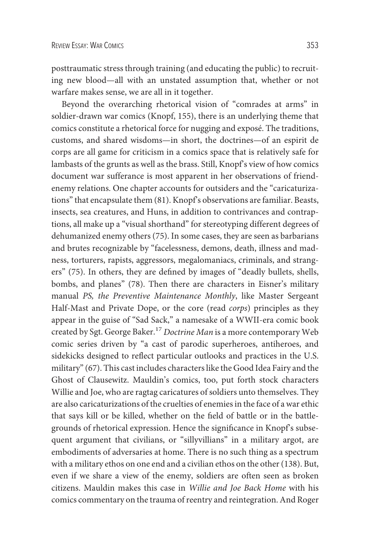posttraumatic stress through training (and educating the public) to recruiting new blood—all with an unstated assumption that, whether or not warfare makes sense, we are all in it together.

Beyond the overarching rhetorical vision of "comrades at arms" in soldier-drawn war comics (Knopf, 155), there is an underlying theme that comics constitute a rhetorical force for nugging and exposé. The traditions, customs, and shared wisdoms—in short, the doctrines—of an espirit de corps are all game for criticism in a comics space that is relatively safe for lambasts of the grunts as well as the brass. Still, Knopf's view of how comics document war sufferance is most apparent in her observations of friendenemy relations. One chapter accounts for outsiders and the "caricaturizations" that encapsulate them (81). Knopf's observations are familiar. Beasts, insects, sea creatures, and Huns, in addition to contrivances and contraptions, all make up a "visual shorthand" for stereotyping different degrees of dehumanized enemy others (75). In some cases, they are seen as barbarians and brutes recognizable by "facelessness, demons, death, illness and madness, torturers, rapists, aggressors, megalomaniacs, criminals, and strangers" (75). In others, they are defıned by images of "deadly bullets, shells, bombs, and planes" (78). Then there are characters in Eisner's military manual *PS, the Preventive Maintenance Monthly*, like Master Sergeant Half-Mast and Private Dope, or the core (read *corps*) principles as they appear in the guise of "Sad Sack," a namesake of a WWII-era comic book created by Sgt. George Baker.<sup>17</sup> *Doctrine Man* is a more contemporary Web comic series driven by "a cast of parodic superheroes, antiheroes, and sidekicks designed to reflect particular outlooks and practices in the U.S. military" (67). This cast includes characters like the Good Idea Fairy and the Ghost of Clausewitz. Mauldin's comics, too, put forth stock characters Willie and Joe, who are ragtag caricatures of soldiers unto themselves. They are also caricaturizations of the cruelties of enemies in the face of a war ethic that says kill or be killed, whether on the fıeld of battle or in the battlegrounds of rhetorical expression. Hence the signifıcance in Knopf's subsequent argument that civilians, or "sillyvillians" in a military argot, are embodiments of adversaries at home. There is no such thing as a spectrum with a military ethos on one end and a civilian ethos on the other (138). But, even if we share a view of the enemy, soldiers are often seen as broken citizens. Mauldin makes this case in *Willie and Joe Back Home* with his comics commentary on the trauma of reentry and reintegration. And Roger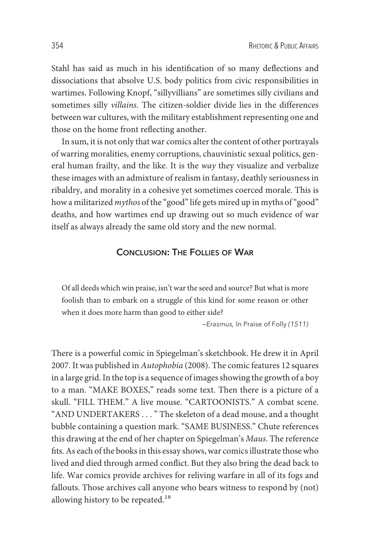Stahl has said as much in his identifıcation of so many deflections and dissociations that absolve U.S. body politics from civic responsibilities in wartimes. Following Knopf, "sillyvillians" are sometimes silly civilians and sometimes silly *villains*. The citizen-soldier divide lies in the differences between war cultures, with the military establishment representing one and those on the home front reflecting another.

In sum, it is not only that war comics alter the content of other portrayals of warring moralities, enemy corruptions, chauvinistic sexual politics, general human frailty, and the like. It is the *way* they visualize and verbalize these images with an admixture of realism in fantasy, deathly seriousness in ribaldry, and morality in a cohesive yet sometimes coerced morale. This is how a militarized *mythos* of the "good" life gets mired up in myths of "good" deaths, and how wartimes end up drawing out so much evidence of war itself as always already the same old story and the new normal.

### CONCLUSION: THE FOLLIES OF WAR

Of all deeds which win praise, isn't war the seed and source? But what is more foolish than to embark on a struggle of this kind for some reason or other when it does more harm than good to either side?

—Erasmus, In Praise of Folly (1511)

There is a powerful comic in Spiegelman's sketchbook. He drew it in April 2007. It was published in *Autophobia* (2008). The comic features 12 squares in a large grid. In the top is a sequence of images showing the growth of a boy to a man. "MAKE BOXES," reads some text. Then there is a picture of a skull. "FILL THEM." A live mouse. "CARTOONISTS." A combat scene. "AND UNDERTAKERS . . . " The skeleton of a dead mouse, and a thought bubble containing a question mark. "SAME BUSINESS." Chute references this drawing at the end of her chapter on Spiegelman's *Maus*. The reference fıts. As each of the books in this essay shows, war comics illustrate those who lived and died through armed conflict. But they also bring the dead back to life. War comics provide archives for reliving warfare in all of its fogs and fallouts. Those archives call anyone who bears witness to respond by (not) allowing history to be repeated.<sup>18</sup>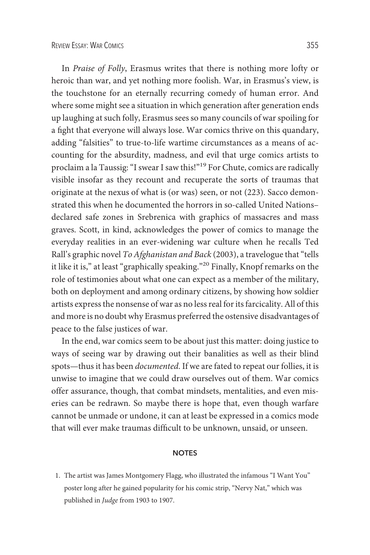In *Praise of Folly*, Erasmus writes that there is nothing more lofty or heroic than war, and yet nothing more foolish. War, in Erasmus's view, is the touchstone for an eternally recurring comedy of human error. And where some might see a situation in which generation after generation ends up laughing at such folly, Erasmus sees so many councils of war spoiling for a fıght that everyone will always lose. War comics thrive on this quandary, adding "falsities" to true-to-life wartime circumstances as a means of accounting for the absurdity, madness, and evil that urge comics artists to proclaim a la Taussig: "I swear I saw this!"<sup>19</sup> For Chute, comics are radically visible insofar as they recount and recuperate the sorts of traumas that originate at the nexus of what is (or was) seen, or not (223). Sacco demonstrated this when he documented the horrors in so-called United Nations– declared safe zones in Srebrenica with graphics of massacres and mass graves. Scott, in kind, acknowledges the power of comics to manage the everyday realities in an ever-widening war culture when he recalls Ted Rall's graphic novel *To Afghanistan and Back* (2003), a travelogue that "tells it like it is," at least "graphically speaking."<sup>20</sup> Finally, Knopf remarks on the role of testimonies about what one can expect as a member of the military, both on deployment and among ordinary citizens, by showing how soldier artists express the nonsense of war as no less real for its farcicality. All of this and more is no doubt why Erasmus preferred the ostensive disadvantages of peace to the false justices of war.

In the end, war comics seem to be about just this matter: doing justice to ways of seeing war by drawing out their banalities as well as their blind spots—thus it has been *documented*. If we are fated to repeat our follies, it is unwise to imagine that we could draw ourselves out of them. War comics offer assurance, though, that combat mindsets, mentalities, and even miseries can be redrawn. So maybe there is hope that, even though warfare cannot be unmade or undone, it can at least be expressed in a comics mode that will ever make traumas diffıcult to be unknown, unsaid, or unseen.

#### **NOTES**

1. The artist was James Montgomery Flagg, who illustrated the infamous "I Want You" poster long after he gained popularity for his comic strip, "Nervy Nat," which was published in *Judge* from 1903 to 1907.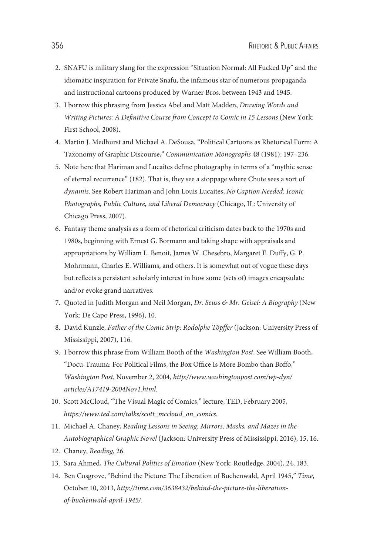- 2. SNAFU is military slang for the expression "Situation Normal: All Fucked Up" and the idiomatic inspiration for Private Snafu, the infamous star of numerous propaganda and instructional cartoons produced by Warner Bros. between 1943 and 1945.
- 3. I borrow this phrasing from Jessica Abel and Matt Madden, *Drawing Words and Writing Pictures: A Defınitive Course from Concept to Comic in 15 Lessons* (New York: First School, 2008).
- 4. Martin J. Medhurst and Michael A. DeSousa, "Political Cartoons as Rhetorical Form: A Taxonomy of Graphic Discourse," *Communication Monographs* 48 (1981): 197–236.
- 5. Note here that Hariman and Lucaites defıne photography in terms of a "mythic sense of eternal recurrence" (182). That is, they see a stoppage where Chute sees a sort of *dynamis*. See Robert Hariman and John Louis Lucaites, *No Caption Needed: Iconic Photographs, Public Culture, and Liberal Democracy* (Chicago, IL: University of Chicago Press, 2007).
- 6. Fantasy theme analysis as a form of rhetorical criticism dates back to the 1970s and 1980s, beginning with Ernest G. Bormann and taking shape with appraisals and appropriations by William L. Benoit, James W. Chesebro, Margaret E. Duffy, G. P. Mohrmann, Charles E. Williams, and others. It is somewhat out of vogue these days but reflects a persistent scholarly interest in how some (sets of) images encapsulate and/or evoke grand narratives.
- 7. Quoted in Judith Morgan and Neil Morgan, *Dr. Seuss & Mr. Geisel: A Biography* (New York: De Capo Press, 1996), 10.
- 8. David Kunzle, *Father of the Comic Strip: Rodolphe Töpffer* (Jackson: University Press of Mississippi, 2007), 116.
- 9. I borrow this phrase from William Booth of the *Washington Post*. See William Booth, "Docu-Trauma: For Political Films, the Box Offıce Is More Bombo than Boffo," *Washington Post*, November 2, 2004, *[http://www.washingtonpost.com/wp-dyn/](http://www.washingtonpost.com/wp-dyn/articles/A17419-2004Nov1.html) [articles/A17419-2004Nov1.html](http://www.washingtonpost.com/wp-dyn/articles/A17419-2004Nov1.html)*.
- 10. Scott McCloud, "The Visual Magic of Comics," lecture, TED, February 2005, *https://www.ted.com/talks/scott\_mccloud\_on\_comics.*
- 11. Michael A. Chaney, *Reading Lessons in Seeing: Mirrors, Masks, and Mazes in the Autobiographical Graphic Novel* (Jackson: University Press of Mississippi, 2016), 15, 16.
- 12. Chaney, *Reading*, 26.
- 13. Sara Ahmed, *The Cultural Politics of Emotion* (New York: Routledge, 2004), 24, 183.
- 14. Ben Cosgrove, "Behind the Picture: The Liberation of Buchenwald, April 1945," *Time*, October 10, 2013, *http://time.com/3638432/behind-the-picture-the-liberationof-buchenwald-april-1945/*.